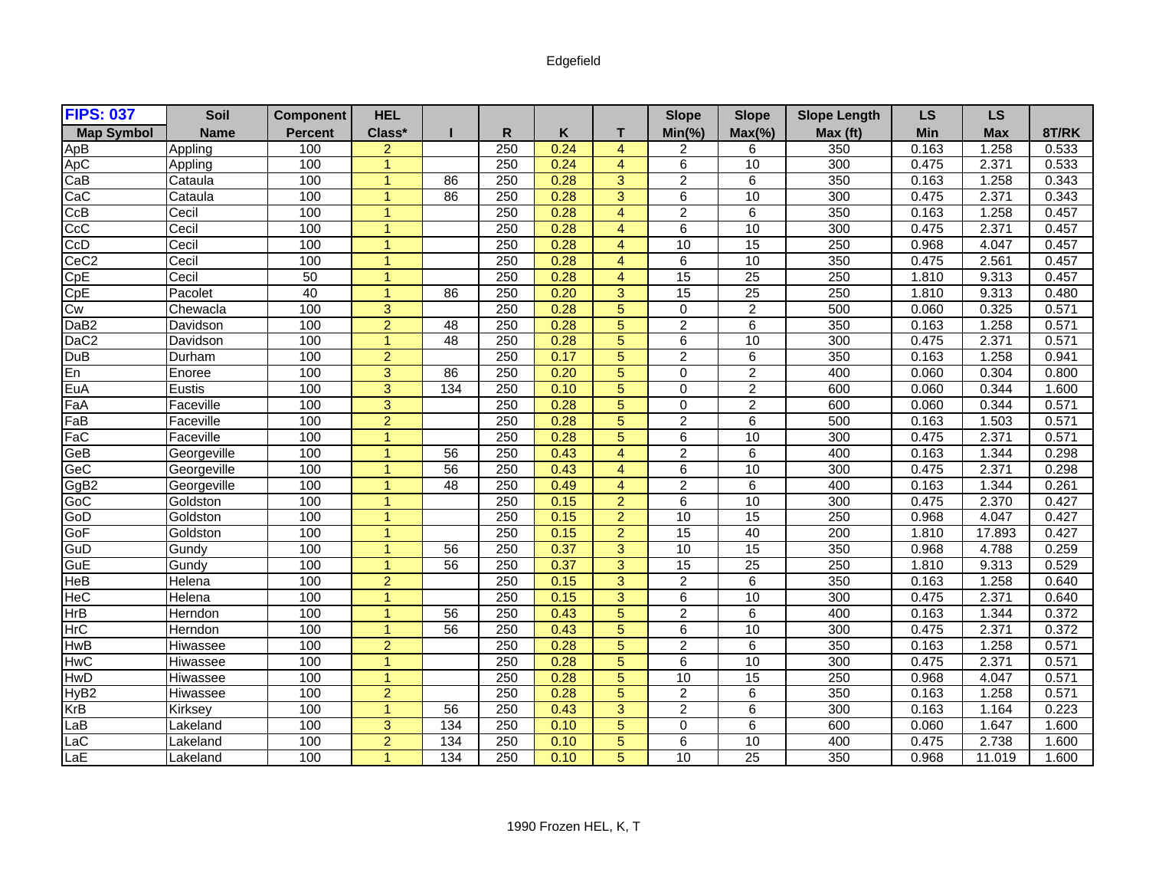## Edgefield

| <b>FIPS: 037</b>  | Soil        | <b>Component</b> | <b>HEL</b>     |                 |                  |      |                 | <b>Slope</b>    | <b>Slope</b>    | <b>Slope Length</b> | <b>LS</b> | <b>LS</b>  |       |
|-------------------|-------------|------------------|----------------|-----------------|------------------|------|-----------------|-----------------|-----------------|---------------------|-----------|------------|-------|
| <b>Map Symbol</b> | <b>Name</b> | <b>Percent</b>   | Class*         |                 | R.               | K    | T.              | $Min(\% )$      | $Max(\% )$      | Max (ft)            | Min       | <b>Max</b> | 8T/RK |
| ApB               | Appling     | 100              | $\overline{a}$ |                 | 250              | 0.24 | $\overline{4}$  | 2               | 6               | 350                 | 0.163     | 1.258      | 0.533 |
| ApC               | Appling     | 100              | $\overline{1}$ |                 | 250              | 0.24 | $\overline{4}$  | $\overline{6}$  | 10              | 300                 | 0.475     | 2.371      | 0.533 |
| CaB               | Cataula     | 100              | $\overline{1}$ | 86              | 250              | 0.28 | $\overline{3}$  | $\overline{2}$  | $\overline{6}$  | 350                 | 0.163     | 1.258      | 0.343 |
| CaC               | Cataula     | 100              | 1              | 86              | 250              | 0.28 | 3               | 6               | 10              | 300                 | 0.475     | 2.371      | 0.343 |
| CcB               | Cecil       | 100              | 1              |                 | 250              | 0.28 | $\overline{4}$  | $\overline{2}$  | 6               | 350                 | 0.163     | 1.258      | 0.457 |
| cc                | Cecil       | 100              | $\mathbf{1}$   |                 | 250              | 0.28 | $\overline{4}$  | 6               | 10              | 300                 | 0.475     | 2.371      | 0.457 |
| CcD               | Cecil       | 100              | $\overline{1}$ |                 | 250              | 0.28 | $\overline{4}$  | 10              | 15              | 250                 | 0.968     | 4.047      | 0.457 |
| CeC <sub>2</sub>  | Cecil       | 100              | $\overline{1}$ |                 | $\overline{250}$ | 0.28 | $\overline{4}$  | 6               | 10              | 350                 | 0.475     | 2.561      | 0.457 |
| CpE               | Cecil       | 50               | 1              |                 | 250              | 0.28 | $\overline{4}$  | 15              | $\overline{25}$ | 250                 | 1.810     | 9.313      | 0.457 |
| CpE               | Pacolet     | 40               | $\mathbf{1}$   | 86              | 250              | 0.20 | 3               | 15              | $\overline{25}$ | 250                 | 1.810     | 9.313      | 0.480 |
| Cw                | Chewacla    | 100              | 3              |                 | 250              | 0.28 | $5\phantom{.0}$ | $\mathbf 0$     | $\overline{2}$  | 500                 | 0.060     | 0.325      | 0.571 |
| DaB <sub>2</sub>  | Davidson    | 100              | $\overline{2}$ | $\overline{48}$ | 250              | 0.28 | $\overline{5}$  | $\overline{2}$  | $\overline{6}$  | 350                 | 0.163     | 1.258      | 0.571 |
| $\overline{DaC2}$ | Davidson    | 100              | $\overline{1}$ | $\overline{48}$ | 250              | 0.28 | 5               | 6               | 10              | 300                 | 0.475     | 2.371      | 0.571 |
| DuB               | Durham      | 100              | $\overline{2}$ |                 | 250              | 0.17 | $\overline{5}$  | $\overline{2}$  | $\overline{6}$  | 350                 | 0.163     | 1.258      | 0.941 |
| En                | Enoree      | 100              | 3              | 86              | 250              | 0.20 | $5\phantom{.0}$ | $\mathbf 0$     | $\overline{a}$  | 400                 | 0.060     | 0.304      | 0.800 |
| EuA               | Eustis      | 100              | 3              | 134             | 250              | 0.10 | 5               | $\Omega$        | $\overline{2}$  | 600                 | 0.060     | 0.344      | 1.600 |
| FaA               | Faceville   | 100              | 3              |                 | 250              | 0.28 | 5               | $\Omega$        | $\overline{2}$  | 600                 | 0.060     | 0.344      | 0.571 |
| FaB               | Faceville   | 100              | $\overline{2}$ |                 | 250              | 0.28 | $\overline{5}$  | $\overline{2}$  | $\overline{6}$  | 500                 | 0.163     | 1.503      | 0.571 |
| FaC               | Faceville   | 100              | $\overline{1}$ |                 | 250              | 0.28 | 5               | 6               | 10              | 300                 | 0.475     | 2.371      | 0.571 |
| GeB               | Georgeville | 100              | 1              | 56              | 250              | 0.43 | $\overline{4}$  | $\overline{2}$  | 6               | 400                 | 0.163     | 1.344      | 0.298 |
| GeC               | Georgeville | 100              | 1              | 56              | 250              | 0.43 | $\overline{4}$  | 6               | 10              | 300                 | 0.475     | 2.371      | 0.298 |
| GgB2              | Georgeville | 100              | $\overline{1}$ | 48              | 250              | 0.49 | $\overline{4}$  | $\overline{2}$  | 6               | 400                 | 0.163     | 1.344      | 0.261 |
| GoC               | Goldston    | 100              | $\overline{1}$ |                 | 250              | 0.15 | $\overline{2}$  | $\overline{6}$  | 10              | 300                 | 0.475     | 2.370      | 0.427 |
| GoD               | Goldston    | 100              | $\overline{1}$ |                 | 250              | 0.15 | $\overline{2}$  | 10              | $\overline{15}$ | 250                 | 0.968     | 4.047      | 0.427 |
| GoF               | Goldston    | 100              | $\overline{1}$ |                 | 250              | 0.15 | $\overline{2}$  | 15              | 40              | 200                 | 1.810     | 17.893     | 0.427 |
| GuD               | Gundy       | 100              | $\overline{1}$ | 56              | 250              | 0.37 | 3               | 10              | 15              | 350                 | 0.968     | 4.788      | 0.259 |
| GuE               | Gundy       | 100              | 1              | 56              | 250              | 0.37 | $\overline{3}$  | 15              | 25              | 250                 | 1.810     | 9.313      | 0.529 |
| HeB               | Helena      | 100              | $\overline{2}$ |                 | 250              | 0.15 | 3               | $\overline{2}$  | 6               | 350                 | 0.163     | 1.258      | 0.640 |
| <b>HeC</b>        | Helena      | 100              | $\mathbf{1}$   |                 | 250              | 0.15 | 3               | 6               | 10              | 300                 | 0.475     | 2.371      | 0.640 |
| HrB               | Herndon     | 100              | $\overline{1}$ | 56              | 250              | 0.43 | $\overline{5}$  | $\overline{2}$  | 6               | 400                 | 0.163     | 1.344      | 0.372 |
| <b>HrC</b>        | Herndon     | 100              | $\mathbf{1}$   | 56              | 250              | 0.43 | 5               | 6               | 10              | 300                 | 0.475     | 2.371      | 0.372 |
| <b>HwB</b>        | Hiwassee    | 100              | $\overline{2}$ |                 | 250              | 0.28 | $5\phantom{.0}$ | $\overline{2}$  | 6               | 350                 | 0.163     | 1.258      | 0.571 |
| HwC               | Hiwassee    | 100              | $\overline{1}$ |                 | 250              | 0.28 | $\overline{5}$  | $\overline{6}$  | 10              | 300                 | 0.475     | 2.371      | 0.571 |
| <b>HwD</b>        | Hiwassee    | 100              | $\overline{1}$ |                 | 250              | 0.28 | $\overline{5}$  | 10              | 15              | 250                 | 0.968     | 4.047      | 0.571 |
| HyB <sub>2</sub>  | Hiwassee    | 100              | $\overline{2}$ |                 | 250              | 0.28 | 5               | $\overline{2}$  | 6               | 350                 | 0.163     | 1.258      | 0.571 |
| KrB               | Kirksey     | 100              | $\mathbf{1}$   | 56              | 250              | 0.43 | 3               | $\overline{2}$  | 6               | 300                 | 0.163     | 1.164      | 0.223 |
| LaB               | Lakeland    | 100              | 3              | 134             | 250              | 0.10 | $\overline{5}$  | $\Omega$        | 6               | 600                 | 0.060     | 1.647      | 1.600 |
| LaC               | Lakeland    | 100              | $\overline{2}$ | 134             | 250              | 0.10 | 5               | 6               | 10              | 400                 | 0.475     | 2.738      | 1.600 |
| LaE               | Lakeland    | 100              | $\overline{1}$ | 134             | 250              | 0.10 | 5               | $\overline{10}$ | $\overline{25}$ | 350                 | 0.968     | 11.019     | 1.600 |